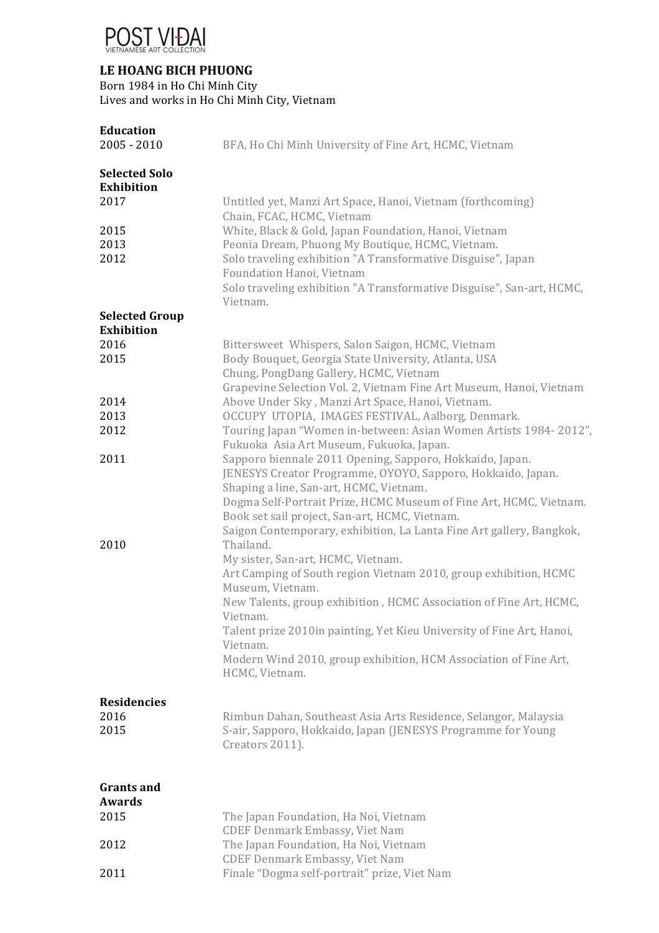

## **LE HOANG BICH PHUONG**

Born 1984 in Ho Chi Minh City

Lives and works in Ho Chi Minh City, Vietnam

| <b>Education</b><br>$2005 - 2010$                 | BFA, Ho Chi Minh University of Fine Art, HCMC, Vietnam                                                                                                                                                                                                                                                                                                             |
|---------------------------------------------------|--------------------------------------------------------------------------------------------------------------------------------------------------------------------------------------------------------------------------------------------------------------------------------------------------------------------------------------------------------------------|
| <b>Selected Solo</b><br><b>Exhibition</b><br>2017 | Untitled yet, Manzi Art Space, Hanoi, Vietnam (forthcoming)                                                                                                                                                                                                                                                                                                        |
| 2015<br>2013<br>2012                              | Chain, FCAC, HCMC, Vietnam<br>White, Black & Gold, Japan Foundation, Hanoi, Vietnam<br>Peonia Dream, Phuong My Boutique, HCMC, Vietnam.<br>Solo traveling exhibition "A Transformative Disguise", Japan<br>Foundation Hanoi, Vietnam<br>Solo traveling exhibition "A Transformative Disguise", San-art, HCMC,<br>Vietnam.                                          |
| <b>Selected Group</b>                             |                                                                                                                                                                                                                                                                                                                                                                    |
| <b>Exhibition</b>                                 |                                                                                                                                                                                                                                                                                                                                                                    |
| 2016                                              | Bittersweet Whispers, Salon Saigon, HCMC, Vietnam                                                                                                                                                                                                                                                                                                                  |
| 2015                                              | Body Bouquet, Georgia State University, Atlanta, USA                                                                                                                                                                                                                                                                                                               |
|                                                   | Chung, PongDang Gallery, HCMC, Vietnam                                                                                                                                                                                                                                                                                                                             |
|                                                   | Grapevine Selection Vol. 2, Vietnam Fine Art Museum, Hanoi, Vietnam                                                                                                                                                                                                                                                                                                |
| 2014                                              | Above Under Sky, Manzi Art Space, Hanoi, Vietnam.                                                                                                                                                                                                                                                                                                                  |
| 2013                                              | OCCUPY UTOPIA, IMAGES FESTIVAL, Aalborg, Denmark.                                                                                                                                                                                                                                                                                                                  |
| 2012                                              | Touring Japan "Women in-between: Asian Women Artists 1984-2012",<br>Fukuoka Asia Art Museum, Fukuoka, Japan.                                                                                                                                                                                                                                                       |
| 2011                                              | Sapporo biennale 2011 Opening, Sapporo, Hokkaido, Japan.<br>JENESYS Creator Programme, OYOYO, Sapporo, Hokkaido, Japan.<br>Shaping a line, San-art, HCMC, Vietnam.<br>Dogma Self-Portrait Prize, HCMC Museum of Fine Art, HCMC, Vietnam.<br>Book set sail project, San-art, HCMC, Vietnam.<br>Saigon Contemporary, exhibition, La Lanta Fine Art gallery, Bangkok, |
| 2010                                              | Thailand.                                                                                                                                                                                                                                                                                                                                                          |
|                                                   | My sister, San-art, HCMC, Vietnam.<br>Art Camping of South region Vietnam 2010, group exhibition, HCMC<br>Museum, Vietnam.                                                                                                                                                                                                                                         |
|                                                   | New Talents, group exhibition, HCMC Association of Fine Art, HCMC,<br>Vietnam.                                                                                                                                                                                                                                                                                     |
|                                                   | Talent prize 2010in painting, Yet Kieu University of Fine Art, Hanoi,<br>Vietnam.                                                                                                                                                                                                                                                                                  |
|                                                   | Modern Wind 2010, group exhibition, HCM Association of Fine Art,<br>HCMC, Vietnam.                                                                                                                                                                                                                                                                                 |

**Residencies** 2016 2015 Rimbun Dahan, Southeast Asia Arts Residence, Selangor, Malaysia S-air, Sapporo, Hokkaido, Japan (JENESYS Programme for Young Creators 2011).

| <b>Grants and</b> |                                              |
|-------------------|----------------------------------------------|
| Awards            |                                              |
| 2015              | The Japan Foundation, Ha Noi, Vietnam        |
|                   | <b>CDEF Denmark Embassy, Viet Nam</b>        |
| 2012              | The Japan Foundation, Ha Noi, Vietnam        |
|                   | <b>CDEF Denmark Embassy, Viet Nam</b>        |
| 2011              | Finale "Dogma self-portrait" prize, Viet Nam |